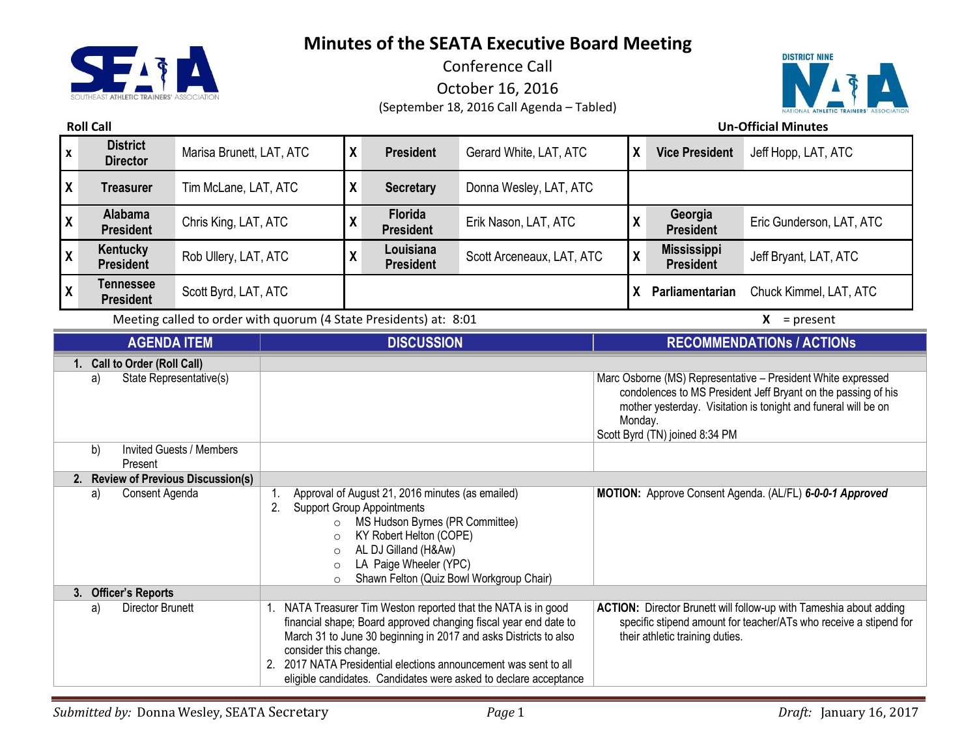

Conference Call October 16, 2016 (September 18, 2016 Call Agenda – Tabled)



**Roll Call Un-Official Minutes**

| $\pmb{\mathsf{X}}$                                                                                                | <b>District</b><br><b>Director</b> | Marisa Brunett, LAT, ATC                                  |                                                                                                                                                                                                                                                   | $\boldsymbol{\mathsf{X}}$ | <b>President</b>                                                  | Gerard White, LAT, ATC                                                                                                                                                                                                                       | X | <b>Vice President</b>                  | Jeff Hopp, LAT, ATC                                                                                                                     |
|-------------------------------------------------------------------------------------------------------------------|------------------------------------|-----------------------------------------------------------|---------------------------------------------------------------------------------------------------------------------------------------------------------------------------------------------------------------------------------------------------|---------------------------|-------------------------------------------------------------------|----------------------------------------------------------------------------------------------------------------------------------------------------------------------------------------------------------------------------------------------|---|----------------------------------------|-----------------------------------------------------------------------------------------------------------------------------------------|
| X                                                                                                                 | <b>Treasurer</b>                   | Tim McLane, LAT, ATC                                      |                                                                                                                                                                                                                                                   | X                         | <b>Secretary</b>                                                  | Donna Wesley, LAT, ATC                                                                                                                                                                                                                       |   |                                        |                                                                                                                                         |
| χ                                                                                                                 | <b>Alabama</b><br><b>President</b> | Chris King, LAT, ATC                                      |                                                                                                                                                                                                                                                   | $\boldsymbol{\mathsf{X}}$ | <b>Florida</b><br><b>President</b>                                | Erik Nason, LAT, ATC                                                                                                                                                                                                                         | χ | Georgia<br><b>President</b>            | Eric Gunderson, LAT, ATC                                                                                                                |
| X                                                                                                                 | Kentucky<br><b>President</b>       | Rob Ullery, LAT, ATC                                      |                                                                                                                                                                                                                                                   | $\boldsymbol{\mathsf{X}}$ | Louisiana<br><b>President</b>                                     | Scott Arceneaux, LAT, ATC                                                                                                                                                                                                                    | X | <b>Mississippi</b><br><b>President</b> | Jeff Bryant, LAT, ATC                                                                                                                   |
| X                                                                                                                 | Tennessee<br><b>President</b>      | Scott Byrd, LAT, ATC                                      |                                                                                                                                                                                                                                                   |                           |                                                                   |                                                                                                                                                                                                                                              | X | Parliamentarian                        | Chuck Kimmel, LAT, ATC                                                                                                                  |
|                                                                                                                   |                                    |                                                           |                                                                                                                                                                                                                                                   |                           | Meeting called to order with quorum (4 State Presidents) at: 8:01 |                                                                                                                                                                                                                                              |   |                                        | $X = present$                                                                                                                           |
|                                                                                                                   | <b>AGENDA ITEM</b>                 |                                                           |                                                                                                                                                                                                                                                   | <b>DISCUSSION</b>         |                                                                   |                                                                                                                                                                                                                                              |   |                                        | <b>RECOMMENDATIONS / ACTIONS</b>                                                                                                        |
| 1. Call to Order (Roll Call)<br>State Representative(s)<br>a)<br>b)<br><b>Invited Guests / Members</b><br>Present |                                    |                                                           |                                                                                                                                                                                                                                                   |                           |                                                                   | Marc Osborne (MS) Representative - President White expressed<br>condolences to MS President Jeff Bryant on the passing of his<br>mother yesterday. Visitation is tonight and funeral will be on<br>Monday.<br>Scott Byrd (TN) joined 8:34 PM |   |                                        |                                                                                                                                         |
| <b>Review of Previous Discussion(s)</b><br>2.                                                                     |                                    |                                                           |                                                                                                                                                                                                                                                   |                           |                                                                   |                                                                                                                                                                                                                                              |   |                                        |                                                                                                                                         |
| Consent Agenda<br>a)                                                                                              |                                    | 2.<br>$\circ$<br>$\circ$<br>$\circ$<br>$\circ$<br>$\circ$ | Approval of August 21, 2016 minutes (as emailed)<br><b>Support Group Appointments</b><br>MS Hudson Byrnes (PR Committee)<br>KY Robert Helton (COPE)<br>AL DJ Gilland (H&Aw)<br>LA Paige Wheeler (YPC)<br>Shawn Felton (Quiz Bowl Workgroup Chair) |                           | MOTION: Approve Consent Agenda. (AL/FL) 6-0-0-1 Approved          |                                                                                                                                                                                                                                              |   |                                        |                                                                                                                                         |
|                                                                                                                   | 3. Officer's Reports               |                                                           |                                                                                                                                                                                                                                                   |                           |                                                                   |                                                                                                                                                                                                                                              |   |                                        |                                                                                                                                         |
|                                                                                                                   | a)<br><b>Director Brunett</b>      |                                                           | 1.                                                                                                                                                                                                                                                |                           |                                                                   | NATA Treasurer Tim Weston reported that the NATA is in good<br>financial shape; Board approved changing fiscal year end date to                                                                                                              |   |                                        | ACTION: Director Brunett will follow-up with Tameshia about adding<br>specific stipend amount for teacher/ATs who receive a stipend for |

March 31 to June 30 beginning in 2017 and asks Districts to also

2. 2017 NATA Presidential elections announcement was sent to all eligible candidates. Candidates were asked to declare acceptance

consider this change.

their athletic training duties.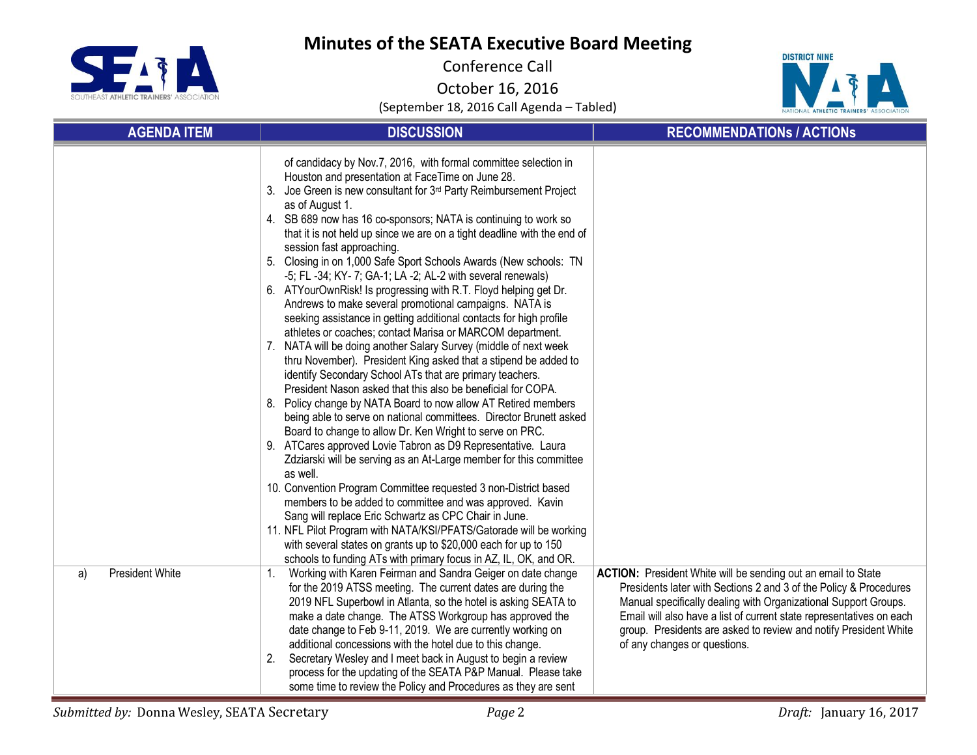

Conference Call

October 16, 2016



| <b>AGENDA ITEM</b>           | <b>DISCUSSION</b>                                                                                                                                                                                                                                                                                                                                                                                                                                                                                                                                                                                                                                                                                                                                                                                                                                                                                                                                                                                                                                                                                                                                                                                                                                                                                                                                                                                                                                                                                                                                                                                                                                                                                                                                                                                                                            | <b>RECOMMENDATIONS / ACTIONS</b>                                                                                                                                                                                                                                                                                                                                                  |
|------------------------------|----------------------------------------------------------------------------------------------------------------------------------------------------------------------------------------------------------------------------------------------------------------------------------------------------------------------------------------------------------------------------------------------------------------------------------------------------------------------------------------------------------------------------------------------------------------------------------------------------------------------------------------------------------------------------------------------------------------------------------------------------------------------------------------------------------------------------------------------------------------------------------------------------------------------------------------------------------------------------------------------------------------------------------------------------------------------------------------------------------------------------------------------------------------------------------------------------------------------------------------------------------------------------------------------------------------------------------------------------------------------------------------------------------------------------------------------------------------------------------------------------------------------------------------------------------------------------------------------------------------------------------------------------------------------------------------------------------------------------------------------------------------------------------------------------------------------------------------------|-----------------------------------------------------------------------------------------------------------------------------------------------------------------------------------------------------------------------------------------------------------------------------------------------------------------------------------------------------------------------------------|
|                              | of candidacy by Nov.7, 2016, with formal committee selection in<br>Houston and presentation at FaceTime on June 28.<br>Joe Green is new consultant for 3 <sup>rd</sup> Party Reimbursement Project<br>3.<br>as of August 1.<br>4. SB 689 now has 16 co-sponsors; NATA is continuing to work so<br>that it is not held up since we are on a tight deadline with the end of<br>session fast approaching.<br>5. Closing in on 1,000 Safe Sport Schools Awards (New schools: TN<br>-5; FL -34; KY- 7; GA-1; LA -2; AL-2 with several renewals)<br>6. ATYourOwnRisk! Is progressing with R.T. Floyd helping get Dr.<br>Andrews to make several promotional campaigns. NATA is<br>seeking assistance in getting additional contacts for high profile<br>athletes or coaches; contact Marisa or MARCOM department.<br>7. NATA will be doing another Salary Survey (middle of next week<br>thru November). President King asked that a stipend be added to<br>identify Secondary School ATs that are primary teachers.<br>President Nason asked that this also be beneficial for COPA.<br>Policy change by NATA Board to now allow AT Retired members<br>8.<br>being able to serve on national committees. Director Brunett asked<br>Board to change to allow Dr. Ken Wright to serve on PRC.<br>9. ATCares approved Lovie Tabron as D9 Representative. Laura<br>Zdziarski will be serving as an At-Large member for this committee<br>as well.<br>10. Convention Program Committee requested 3 non-District based<br>members to be added to committee and was approved. Kavin<br>Sang will replace Eric Schwartz as CPC Chair in June.<br>11. NFL Pilot Program with NATA/KSI/PFATS/Gatorade will be working<br>with several states on grants up to \$20,000 each for up to 150<br>schools to funding ATs with primary focus in AZ, IL, OK, and OR. |                                                                                                                                                                                                                                                                                                                                                                                   |
| <b>President White</b><br>a) | Working with Karen Feirman and Sandra Geiger on date change<br>1.<br>for the 2019 ATSS meeting. The current dates are during the<br>2019 NFL Superbowl in Atlanta, so the hotel is asking SEATA to<br>make a date change. The ATSS Workgroup has approved the<br>date change to Feb 9-11, 2019. We are currently working on<br>additional concessions with the hotel due to this change.<br>Secretary Wesley and I meet back in August to begin a review<br>process for the updating of the SEATA P&P Manual. Please take<br>some time to review the Policy and Procedures as they are sent                                                                                                                                                                                                                                                                                                                                                                                                                                                                                                                                                                                                                                                                                                                                                                                                                                                                                                                                                                                                                                                                                                                                                                                                                                                  | ACTION: President White will be sending out an email to State<br>Presidents later with Sections 2 and 3 of the Policy & Procedures<br>Manual specifically dealing with Organizational Support Groups.<br>Email will also have a list of current state representatives on each<br>group. Presidents are asked to review and notify President White<br>of any changes or questions. |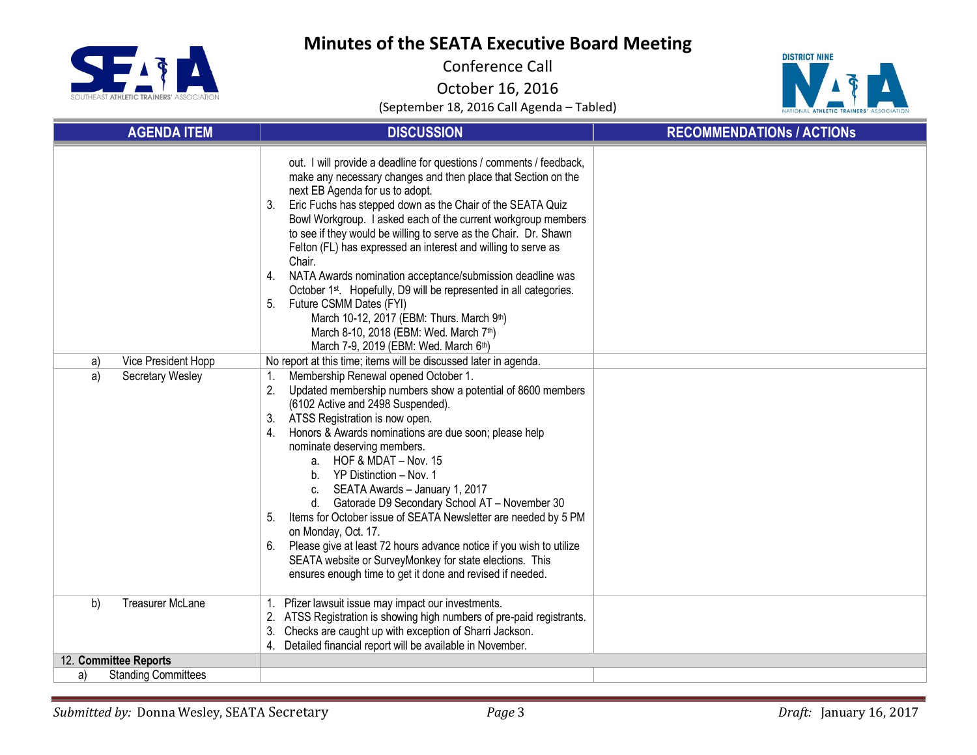

Conference Call

October 16, 2016



| <b>AGENDA ITEM</b>               | <b>DISCUSSION</b>                                                                                                                                                                                                                                                                                                                                                                                                                                                                                                                                                                                                                                                                                                                                                                                                                                     | <b>RECOMMENDATIONS / ACTIONS</b> |
|----------------------------------|-------------------------------------------------------------------------------------------------------------------------------------------------------------------------------------------------------------------------------------------------------------------------------------------------------------------------------------------------------------------------------------------------------------------------------------------------------------------------------------------------------------------------------------------------------------------------------------------------------------------------------------------------------------------------------------------------------------------------------------------------------------------------------------------------------------------------------------------------------|----------------------------------|
| Vice President Hopp<br>a)        | out. I will provide a deadline for questions / comments / feedback,<br>make any necessary changes and then place that Section on the<br>next EB Agenda for us to adopt.<br>Eric Fuchs has stepped down as the Chair of the SEATA Quiz<br>3.<br>Bowl Workgroup. I asked each of the current workgroup members<br>to see if they would be willing to serve as the Chair. Dr. Shawn<br>Felton (FL) has expressed an interest and willing to serve as<br>Chair.<br>NATA Awards nomination acceptance/submission deadline was<br>4.<br>October 1 <sup>st</sup> . Hopefully, D9 will be represented in all categories.<br>Future CSMM Dates (FYI)<br>5.<br>March 10-12, 2017 (EBM: Thurs. March 9th)<br>March 8-10, 2018 (EBM: Wed. March 7th)<br>March 7-9, 2019 (EBM: Wed. March 6th)<br>No report at this time; items will be discussed later in agenda. |                                  |
| a)<br>Secretary Wesley           | Membership Renewal opened October 1.<br>1.<br>Updated membership numbers show a potential of 8600 members<br>(6102 Active and 2498 Suspended).<br>ATSS Registration is now open.<br>3.<br>Honors & Awards nominations are due soon; please help<br>4.<br>nominate deserving members.<br>a. HOF & MDAT - Nov. 15<br>b. YP Distinction - Nov. 1<br>SEATA Awards - January 1, 2017<br>C.<br>d. Gatorade D9 Secondary School AT - November 30<br>Items for October issue of SEATA Newsletter are needed by 5 PM<br>5.<br>on Monday, Oct. 17.<br>Please give at least 72 hours advance notice if you wish to utilize<br>6.<br>SEATA website or SurveyMonkey for state elections. This<br>ensures enough time to get it done and revised if needed.                                                                                                         |                                  |
| <b>Treasurer McLane</b><br>b)    | Pfizer lawsuit issue may impact our investments.<br>ATSS Registration is showing high numbers of pre-paid registrants.<br>Checks are caught up with exception of Sharri Jackson.<br>3.<br>Detailed financial report will be available in November.<br>4.                                                                                                                                                                                                                                                                                                                                                                                                                                                                                                                                                                                              |                                  |
| 12. Committee Reports            |                                                                                                                                                                                                                                                                                                                                                                                                                                                                                                                                                                                                                                                                                                                                                                                                                                                       |                                  |
| <b>Standing Committees</b><br>a) |                                                                                                                                                                                                                                                                                                                                                                                                                                                                                                                                                                                                                                                                                                                                                                                                                                                       |                                  |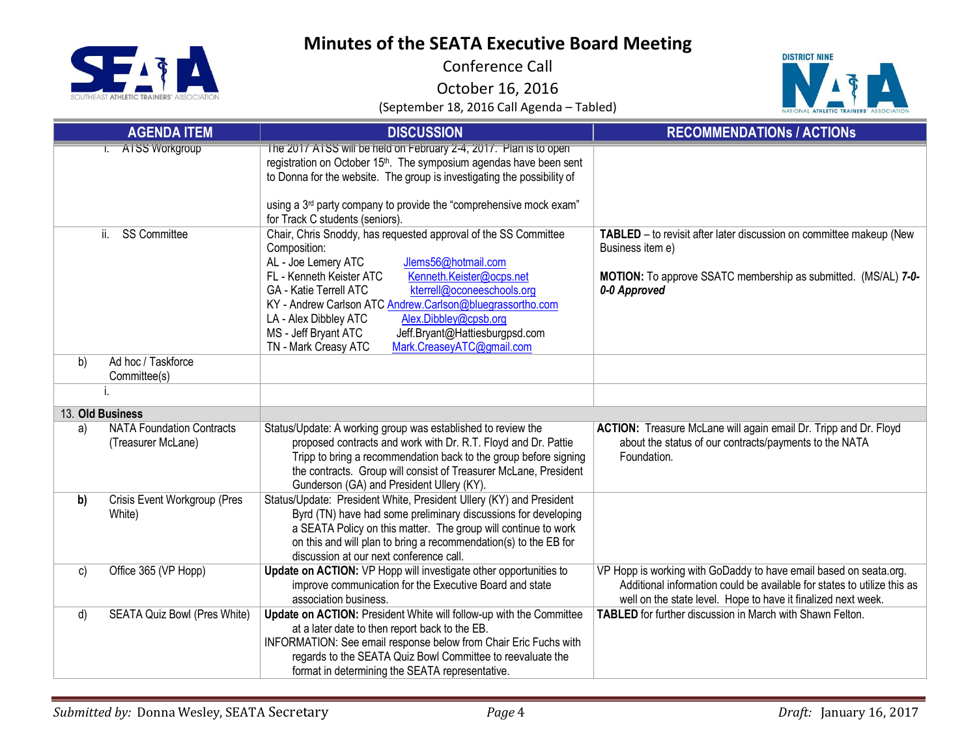SE **TDAINEDS'** 

# **Minutes of the SEATA Executive Board Meeting**

Conference Call

October 16, 2016



|    | <b>AGENDA ITEM</b>                                     | <b>DISCUSSION</b>                                                                                                                                                                                                                                                                                                                                                                                                                                                                  | <b>RECOMMENDATIONS / ACTIONS</b>                                                                                                                                                                              |
|----|--------------------------------------------------------|------------------------------------------------------------------------------------------------------------------------------------------------------------------------------------------------------------------------------------------------------------------------------------------------------------------------------------------------------------------------------------------------------------------------------------------------------------------------------------|---------------------------------------------------------------------------------------------------------------------------------------------------------------------------------------------------------------|
|    | I. AISS Workgroup                                      | The 2017 ATSS will be held on February 2-4, 2017. Plan is to open<br>registration on October 15 <sup>th</sup> . The symposium agendas have been sent<br>to Donna for the website. The group is investigating the possibility of<br>using a 3 <sup>rd</sup> party company to provide the "comprehensive mock exam"<br>for Track C students (seniors).                                                                                                                               |                                                                                                                                                                                                               |
|    | <b>SS Committee</b><br>ii.                             | Chair, Chris Snoddy, has requested approval of the SS Committee<br>Composition:<br>AL - Joe Lemery ATC<br>Jlems56@hotmail.com<br>Kenneth.Keister@ocps.net<br>FL - Kenneth Keister ATC<br>kterrell@oconeeschools.org<br><b>GA - Katie Terrell ATC</b><br>KY - Andrew Carlson ATC Andrew.Carlson@bluegrassortho.com<br>Alex.Dibbley@cpsb.org<br>LA - Alex Dibbley ATC<br>MS - Jeff Bryant ATC<br>Jeff.Bryant@Hattiesburgpsd.com<br>TN - Mark Creasy ATC<br>Mark.CreaseyATC@gmail.com | TABLED - to revisit after later discussion on committee makeup (New<br>Business item e)<br>MOTION: To approve SSATC membership as submitted. (MS/AL) 7-0-<br>0-0 Approved                                     |
| b) | Ad hoc / Taskforce<br>Committee(s)                     |                                                                                                                                                                                                                                                                                                                                                                                                                                                                                    |                                                                                                                                                                                                               |
|    |                                                        |                                                                                                                                                                                                                                                                                                                                                                                                                                                                                    |                                                                                                                                                                                                               |
|    | 13. Old Business                                       |                                                                                                                                                                                                                                                                                                                                                                                                                                                                                    |                                                                                                                                                                                                               |
| a) | <b>NATA Foundation Contracts</b><br>(Treasurer McLane) | Status/Update: A working group was established to review the<br>proposed contracts and work with Dr. R.T. Floyd and Dr. Pattie<br>Tripp to bring a recommendation back to the group before signing<br>the contracts. Group will consist of Treasurer McLane, President<br>Gunderson (GA) and President Ullery (KY).                                                                                                                                                                | ACTION: Treasure McLane will again email Dr. Tripp and Dr. Floyd<br>about the status of our contracts/payments to the NATA<br>Foundation.                                                                     |
| b) | Crisis Event Workgroup (Pres<br>White)                 | Status/Update: President White, President Ullery (KY) and President<br>Byrd (TN) have had some preliminary discussions for developing<br>a SEATA Policy on this matter. The group will continue to work<br>on this and will plan to bring a recommendation(s) to the EB for<br>discussion at our next conference call.                                                                                                                                                             |                                                                                                                                                                                                               |
| c) | Office 365 (VP Hopp)                                   | Update on ACTION: VP Hopp will investigate other opportunities to<br>improve communication for the Executive Board and state<br>association business.                                                                                                                                                                                                                                                                                                                              | VP Hopp is working with GoDaddy to have email based on seata.org.<br>Additional information could be available for states to utilize this as<br>well on the state level. Hope to have it finalized next week. |
| d) | SEATA Quiz Bowl (Pres White)                           | Update on ACTION: President White will follow-up with the Committee<br>at a later date to then report back to the EB.<br>INFORMATION: See email response below from Chair Eric Fuchs with<br>regards to the SEATA Quiz Bowl Committee to reevaluate the<br>format in determining the SEATA representative.                                                                                                                                                                         | <b>TABLED</b> for further discussion in March with Shawn Felton.                                                                                                                                              |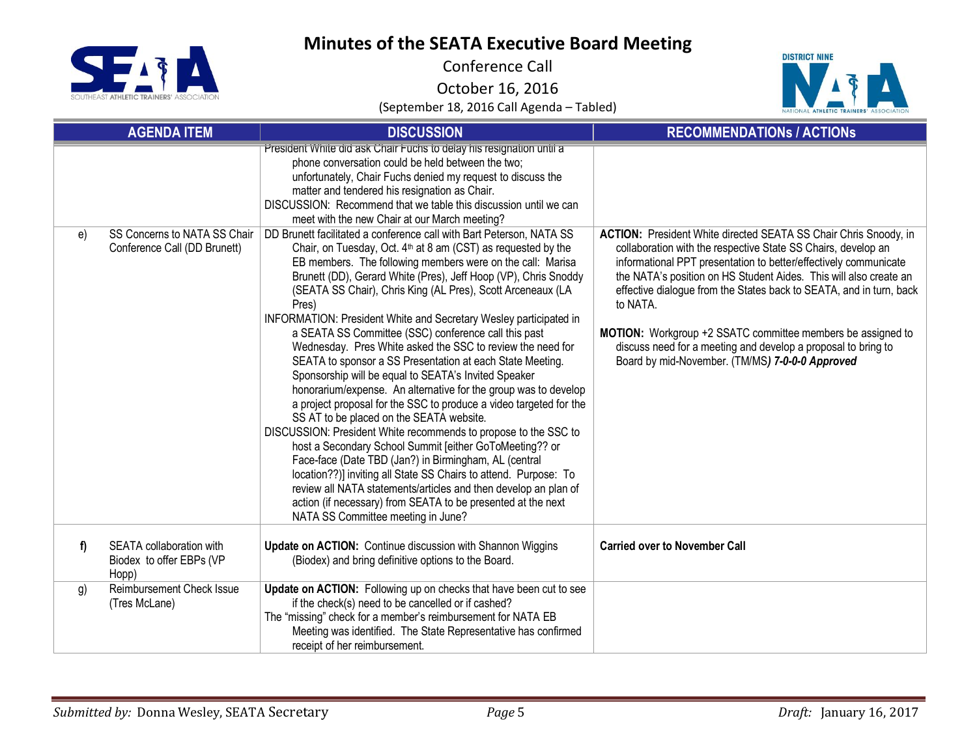**SEIT** TD AINEDS'

# **Minutes of the SEATA Executive Board Meeting**

Conference Call

October 16, 2016



| <b>AGENDA ITEM</b> |                                                               | <b>DISCUSSION</b>                                                                                                                                                                                                                                                                                                                                                                                                                                                                                                                                                                                                                                                                                                                                                                                                                                                                                                                                                                                                                                                                                                                                                                                                                                                                                   | <b>RECOMMENDATIONS / ACTIONS</b>                                                                                                                                                                                                                                                                                                                                                                                                                                                                                                                               |  |
|--------------------|---------------------------------------------------------------|-----------------------------------------------------------------------------------------------------------------------------------------------------------------------------------------------------------------------------------------------------------------------------------------------------------------------------------------------------------------------------------------------------------------------------------------------------------------------------------------------------------------------------------------------------------------------------------------------------------------------------------------------------------------------------------------------------------------------------------------------------------------------------------------------------------------------------------------------------------------------------------------------------------------------------------------------------------------------------------------------------------------------------------------------------------------------------------------------------------------------------------------------------------------------------------------------------------------------------------------------------------------------------------------------------|----------------------------------------------------------------------------------------------------------------------------------------------------------------------------------------------------------------------------------------------------------------------------------------------------------------------------------------------------------------------------------------------------------------------------------------------------------------------------------------------------------------------------------------------------------------|--|
|                    |                                                               | President White did ask Chair Fuchs to delay his resignation until a<br>phone conversation could be held between the two;<br>unfortunately, Chair Fuchs denied my request to discuss the<br>matter and tendered his resignation as Chair.<br>DISCUSSION: Recommend that we table this discussion until we can<br>meet with the new Chair at our March meeting?                                                                                                                                                                                                                                                                                                                                                                                                                                                                                                                                                                                                                                                                                                                                                                                                                                                                                                                                      |                                                                                                                                                                                                                                                                                                                                                                                                                                                                                                                                                                |  |
| e)                 | SS Concerns to NATA SS Chair<br>Conference Call (DD Brunett)  | DD Brunett facilitated a conference call with Bart Peterson, NATA SS<br>Chair, on Tuesday, Oct. 4 <sup>th</sup> at 8 am (CST) as requested by the<br>EB members. The following members were on the call: Marisa<br>Brunett (DD), Gerard White (Pres), Jeff Hoop (VP), Chris Snoddy<br>(SEATA SS Chair), Chris King (AL Pres), Scott Arceneaux (LA<br>Pres)<br>INFORMATION: President White and Secretary Wesley participated in<br>a SEATA SS Committee (SSC) conference call this past<br>Wednesday. Pres White asked the SSC to review the need for<br>SEATA to sponsor a SS Presentation at each State Meeting.<br>Sponsorship will be equal to SEATA's Invited Speaker<br>honorarium/expense. An alternative for the group was to develop<br>a project proposal for the SSC to produce a video targeted for the<br>SS AT to be placed on the SEATA website.<br>DISCUSSION: President White recommends to propose to the SSC to<br>host a Secondary School Summit [either GoToMeeting?? or<br>Face-face (Date TBD (Jan?) in Birmingham, AL (central<br>location??)] inviting all State SS Chairs to attend. Purpose: To<br>review all NATA statements/articles and then develop an plan of<br>action (if necessary) from SEATA to be presented at the next<br>NATA SS Committee meeting in June? | <b>ACTION:</b> President White directed SEATA SS Chair Chris Snoody, in<br>collaboration with the respective State SS Chairs, develop an<br>informational PPT presentation to better/effectively communicate<br>the NATA's position on HS Student Aides. This will also create an<br>effective dialogue from the States back to SEATA, and in turn, back<br>to NATA.<br><b>MOTION:</b> Workgroup +2 SSATC committee members be assigned to<br>discuss need for a meeting and develop a proposal to bring to<br>Board by mid-November. (TM/MS) 7-0-0-0 Approved |  |
| f)                 | SEATA collaboration with<br>Biodex to offer EBPs (VP<br>Hopp) | Update on ACTION: Continue discussion with Shannon Wiggins<br>(Biodex) and bring definitive options to the Board.                                                                                                                                                                                                                                                                                                                                                                                                                                                                                                                                                                                                                                                                                                                                                                                                                                                                                                                                                                                                                                                                                                                                                                                   | <b>Carried over to November Call</b>                                                                                                                                                                                                                                                                                                                                                                                                                                                                                                                           |  |
| g)                 | Reimbursement Check Issue<br>(Tres McLane)                    | Update on ACTION: Following up on checks that have been cut to see<br>if the check(s) need to be cancelled or if cashed?<br>The "missing" check for a member's reimbursement for NATA EB<br>Meeting was identified. The State Representative has confirmed<br>receipt of her reimbursement.                                                                                                                                                                                                                                                                                                                                                                                                                                                                                                                                                                                                                                                                                                                                                                                                                                                                                                                                                                                                         |                                                                                                                                                                                                                                                                                                                                                                                                                                                                                                                                                                |  |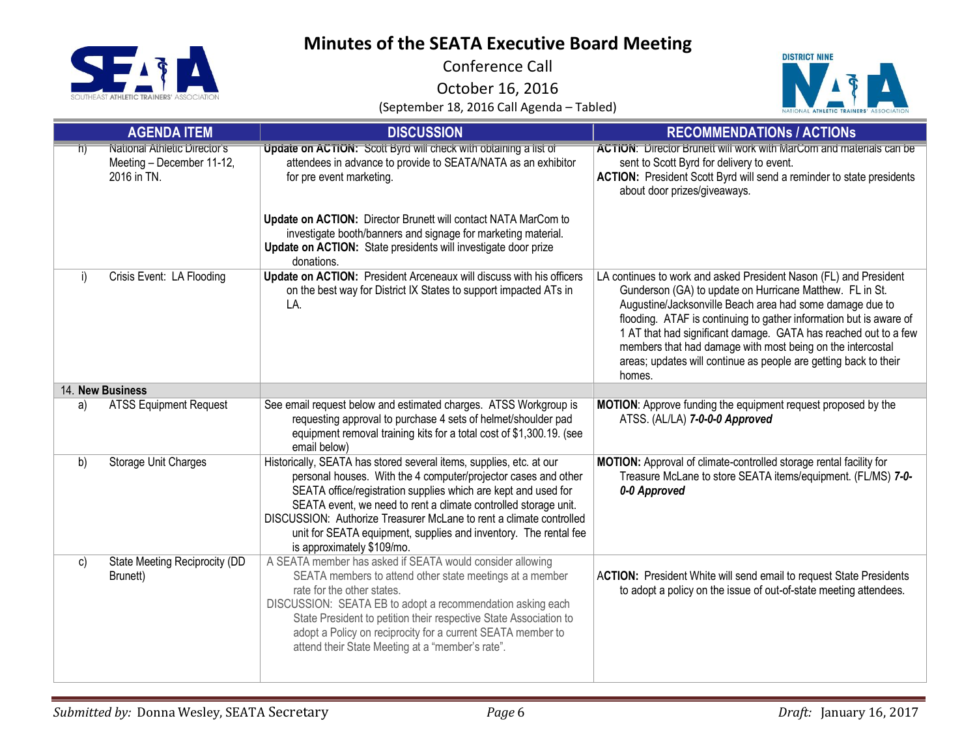

Conference Call

October 16, 2016



|                         | <b>AGENDA ITEM</b>                                                       | <b>DISCUSSION</b>                                                                                                                                                                                                                                                                                                                                                                                                                                   | <b>RECOMMENDATIONS / ACTIONS</b>                                                                                                                                                                                                                                                                                                                                                                                                                                               |
|-------------------------|--------------------------------------------------------------------------|-----------------------------------------------------------------------------------------------------------------------------------------------------------------------------------------------------------------------------------------------------------------------------------------------------------------------------------------------------------------------------------------------------------------------------------------------------|--------------------------------------------------------------------------------------------------------------------------------------------------------------------------------------------------------------------------------------------------------------------------------------------------------------------------------------------------------------------------------------------------------------------------------------------------------------------------------|
| $\overline{\mathsf{n}}$ | National Athletic Director's<br>Meeting - December 11-12,<br>2016 in TN. | Update on ACTION: Scott Byrd will check with obtaining a list of<br>attendees in advance to provide to SEATA/NATA as an exhibitor<br>for pre event marketing.                                                                                                                                                                                                                                                                                       | <b>ACTION: Director Brunett will work with MarCom and materials can be</b><br>sent to Scott Byrd for delivery to event.<br><b>ACTION:</b> President Scott Byrd will send a reminder to state presidents<br>about door prizes/giveaways.                                                                                                                                                                                                                                        |
|                         |                                                                          | Update on ACTION: Director Brunett will contact NATA MarCom to<br>investigate booth/banners and signage for marketing material.<br>Update on ACTION: State presidents will investigate door prize<br>donations.                                                                                                                                                                                                                                     |                                                                                                                                                                                                                                                                                                                                                                                                                                                                                |
| i)                      | Crisis Event: LA Flooding                                                | Update on ACTION: President Arceneaux will discuss with his officers<br>on the best way for District IX States to support impacted ATs in<br>LA.                                                                                                                                                                                                                                                                                                    | LA continues to work and asked President Nason (FL) and President<br>Gunderson (GA) to update on Hurricane Matthew. FL in St.<br>Augustine/Jacksonville Beach area had some damage due to<br>flooding. ATAF is continuing to gather information but is aware of<br>1 AT that had significant damage. GATA has reached out to a few<br>members that had damage with most being on the intercostal<br>areas; updates will continue as people are getting back to their<br>homes. |
|                         | 14. New Business                                                         |                                                                                                                                                                                                                                                                                                                                                                                                                                                     |                                                                                                                                                                                                                                                                                                                                                                                                                                                                                |
| a)                      | <b>ATSS Equipment Request</b>                                            | See email request below and estimated charges. ATSS Workgroup is<br>requesting approval to purchase 4 sets of helmet/shoulder pad<br>equipment removal training kits for a total cost of \$1,300.19. (see<br>email below)                                                                                                                                                                                                                           | MOTION: Approve funding the equipment request proposed by the<br>ATSS. (AL/LA) 7-0-0-0 Approved                                                                                                                                                                                                                                                                                                                                                                                |
| b)                      | <b>Storage Unit Charges</b>                                              | Historically, SEATA has stored several items, supplies, etc. at our<br>personal houses. With the 4 computer/projector cases and other<br>SEATA office/registration supplies which are kept and used for<br>SEATA event, we need to rent a climate controlled storage unit.<br>DISCUSSION: Authorize Treasurer McLane to rent a climate controlled<br>unit for SEATA equipment, supplies and inventory. The rental fee<br>is approximately \$109/mo. | MOTION: Approval of climate-controlled storage rental facility for<br>Treasure McLane to store SEATA items/equipment. (FL/MS) 7-0-<br>0-0 Approved                                                                                                                                                                                                                                                                                                                             |
| c)                      | State Meeting Reciprocity (DD<br>Brunett)                                | A SEATA member has asked if SEATA would consider allowing<br>SEATA members to attend other state meetings at a member<br>rate for the other states.<br>DISCUSSION: SEATA EB to adopt a recommendation asking each<br>State President to petition their respective State Association to<br>adopt a Policy on reciprocity for a current SEATA member to<br>attend their State Meeting at a "member's rate".                                           | ACTION: President White will send email to request State Presidents<br>to adopt a policy on the issue of out-of-state meeting attendees.                                                                                                                                                                                                                                                                                                                                       |